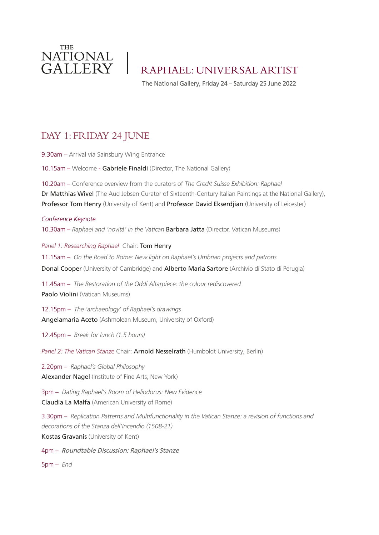

RAPHAEL: UNIVERSAL ARTIST

The National Gallery, Friday 24 – Saturday 25 June 2022

# DAY 1: FRIDAY 24 JUNE

9.30am – Arrival via Sainsbury Wing Entrance

10.15am – Welcome - Gabriele Finaldi (Director, The National Gallery)

10.20am – Conference overview from the curators of *The Credit Suisse Exhibition: Raphael*  Dr Matthias Wivel (The Aud Jebsen Curator of Sixteenth-Century Italian Paintings at the National Gallery), Professor Tom Henry (University of Kent) and Professor David Ekserdjian (University of Leicester)

*Conference Keynote* 10.30am – *Raphael and 'novità' in the Vatican* Barbara Jatta (Director, Vatican Museums)

*Panel 1: Researching Raphael* Chair: Tom Henry 11.15am – *On the Road to Rome: New light on Raphael's Umbrian projects and patrons* Donal Cooper (University of Cambridge) and Alberto Maria Sartore (Archivio di Stato di Perugia)

11.45am – *The Restoration of the Oddi Altarpiece: the colour rediscovered* Paolo Violini (Vatican Museums)

12.15pm – *The 'archaeology' of Raphael's drawings* Angelamaria Aceto (Ashmolean Museum, University of Oxford)

12.45pm – *Break for lunch (1.5 hours)*

*Panel 2: The Vatican Stanze* Chair: Arnold Nesselrath (Humboldt University, Berlin)

2.20pm – *Raphael's Global Philosophy* Alexander Nagel (Institute of Fine Arts, New York)

3pm – *Dating Raphael's Room of Heliodorus: New Evidence* Claudia La Malfa (American University of Rome)

3.30pm – *Replication Patterns and Multifunctionality in the Vatican Stanze: a revision of functions and decorations of the Stanza dell'Incendio (1508-21)* Kostas Gravanis (University of Kent)

4pm – Roundtable Discussion: Raphael's Stanze

5pm – *End*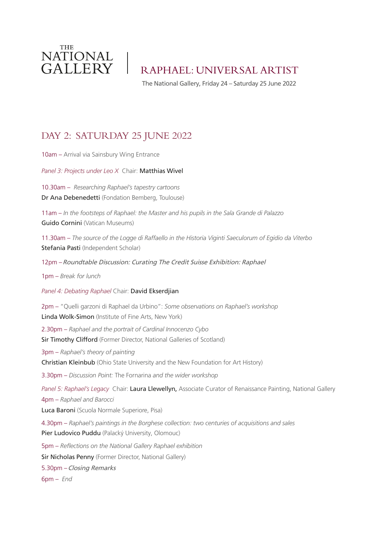

RAPHAEL: UNIVERSAL ARTIST

The National Gallery, Friday 24 – Saturday 25 June 2022

## DAY 2: SATURDAY 25 JUNE 2022

10am – Arrival via Sainsbury Wing Entrance

*Panel 3: Projects under Leo X* Chair: Matthias Wivel

10.30am – *Researching Raphael's tapestry cartoons* Dr Ana Debenedetti (Fondation Bemberg, Toulouse)

11am – *In the footsteps of Raphael: the Master and his pupils in the Sala Grande di Palazzo* Guido Cornini (Vatican Museums)

11.30am – *The source of the Logge di Raffaello in the Historia Viginti Saeculorum of Egidio da Viterbo* Stefania Pasti (Independent Scholar)

12pm –Roundtable Discussion: Curating The Credit Suisse Exhibition: Raphael

1pm – *Break for lunch*

*Panel 4: Debating Raphael* Chair: David Ekserdjian

2pm – "Quelli garzoni di Raphael da Urbino": *Some observations on Raphael's workshop* Linda Wolk-Simon (Institute of Fine Arts, New York)

2.30pm – *Raphael and the portrait of Cardinal Innocenzo Cybo* Sir Timothy Clifford (Former Director, National Galleries of Scotland)

3pm – *Raphael's theory of painting* Christian Kleinbub (Ohio State University and the New Foundation for Art History)

3.30pm – *Discussion Point:* The Fornarina *and the wider workshop*

*Panel 5: Raphael's Legacy* Chair: Laura Llewellyn, Associate Curator of Renaissance Painting, National Gallery 4pm – *Raphael and Barocci*

Luca Baroni (Scuola Normale Superiore, Pisa)

4.30pm – *Raphael's paintings in the Borghese collection: two centuries of acquisitions and sales* Pier Ludovico Puddu (Palacký University, Olomouc)

5pm – *Reflections on the National Gallery Raphael exhibition*

Sir Nicholas Penny (Former Director, National Gallery)

5.30pm –Closing Remarks

6pm – *End*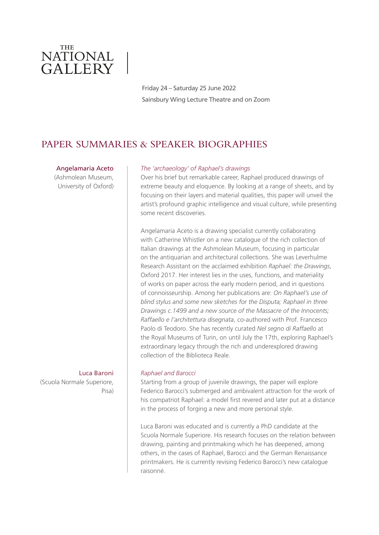

Friday 24 – Saturday 25 June 2022 Sainsbury Wing Lecture Theatre and on Zoom

## PAPER SUMMARIES & SPEAKER BIOGRAPHIES

#### Angelamaria Aceto

(Ashmolean Museum, University of Oxford)

## Luca Baroni

(Scuola Normale Superiore, Pisa)

#### *The 'archaeology' of Raphael's drawings*

Over his brief but remarkable career, Raphael produced drawings of extreme beauty and eloquence. By looking at a range of sheets, and by focusing on their layers and material qualities, this paper will unveil the artist's profound graphic intelligence and visual culture, while presenting some recent discoveries.

Angelamaria Aceto is a drawing specialist currently collaborating with Catherine Whistler on a new catalogue of the rich collection of Italian drawings at the Ashmolean Museum, focusing in particular on the antiquarian and architectural collections. She was Leverhulme Research Assistant on the acclaimed exhibition *Raphael: the Drawings*, Oxford 2017. Her interest lies in the uses, functions, and materiality of works on paper across the early modern period, and in questions of connoisseurship. Among her publications are: *On Raphael's use of blind stylus and some new sketches for the Disputa; Raphael in three Drawings c.1499 and a new source of the Massacre of the Innocents; Raffaello e l'architettura disegnata*, co-authored with Prof. Francesco Paolo di Teodoro. She has recently curated *Nel segno di Raffaello* at the Royal Museums of Turin, on until July the 17th, exploring Raphael's extraordinary legacy through the rich and underexplored drawing collection of the Biblioteca Reale.

#### *Raphael and Barocci*

Starting from a group of juvenile drawings, the paper will explore Federico Barocci's submerged and ambivalent attraction for the work of his compatriot Raphael: a model first revered and later put at a distance in the process of forging a new and more personal style.

Luca Baroni was educated and is currently a PhD candidate at the Scuola Normale Superiore. His research focuses on the relation between drawing, painting and printmaking which he has deepened, among others, in the cases of Raphael, Barocci and the German Renaissance printmakers. He is currently revising Federico Barocci's new catalogue raisonné.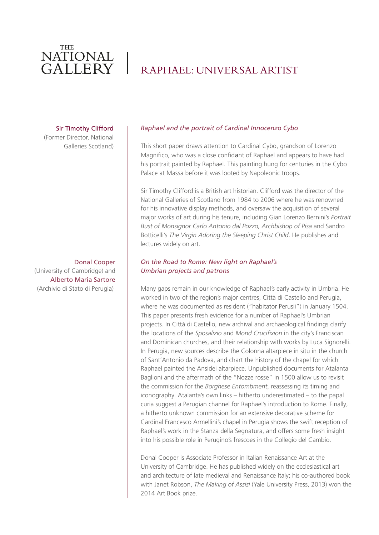# RAPHAEL: UNIVERSAL ARTIST

#### Sir Timothy Clifford

(Former Director, National Galleries Scotland)

Donal Cooper (University of Cambridge) and Alberto Maria Sartore (Archivio di Stato di Perugia)

#### *Raphael and the portrait of Cardinal Innocenzo Cybo*

This short paper draws attention to Cardinal Cybo, grandson of Lorenzo Magnifico, who was a close confidant of Raphael and appears to have had his portrait painted by Raphael. This painting hung for centuries in the Cybo Palace at Massa before it was looted by Napoleonic troops.

Sir Timothy Clifford is a British art historian. Clifford was the director of the National Galleries of Scotland from 1984 to 2006 where he was renowned for his innovative display methods, and oversaw the acquisition of several major works of art during his tenure, including Gian Lorenzo Bernini's *Portrait Bust of Monsignor Carlo Antonio dal Pozzo, Archbishop of Pisa* and Sandro Botticelli's *The Virgin Adoring the Sleeping Christ Child*. He publishes and lectures widely on art.

### *On the Road to Rome: New light on Raphael's Umbrian projects and patrons*

Many gaps remain in our knowledge of Raphael's early activity in Umbria. He worked in two of the region's major centres, Città di Castello and Perugia, where he was documented as resident ("habitator Perusii") in January 1504. This paper presents fresh evidence for a number of Raphael's Umbrian projects. In Città di Castello, new archival and archaeological findings clarify the locations of the *Sposalizio* and *Mond Crucifixion* in the city's Franciscan and Dominican churches, and their relationship with works by Luca Signorelli. In Perugia, new sources describe the Colonna altarpiece in situ in the church of Sant'Antonio da Padova, and chart the history of the chapel for which Raphael painted the Ansidei altarpiece. Unpublished documents for Atalanta Baglioni and the aftermath of the "Nozze rosse" in 1500 allow us to revisit the commission for the *Borghese Entombment*, reassessing its timing and iconography. Atalanta's own links – hitherto underestimated – to the papal curia suggest a Perugian channel for Raphael's introduction to Rome. Finally, a hitherto unknown commission for an extensive decorative scheme for Cardinal Francesco Armellini's chapel in Perugia shows the swift reception of Raphael's work in the Stanza della Segnatura, and offers some fresh insight into his possible role in Perugino's frescoes in the Collegio del Cambio.

Donal Cooper is Associate Professor in Italian Renaissance Art at the University of Cambridge. He has published widely on the ecclesiastical art and architecture of late medieval and Renaissance Italy; his co-authored book with Janet Robson, *The Making of Assisi* (Yale University Press, 2013) won the 2014 Art Book prize.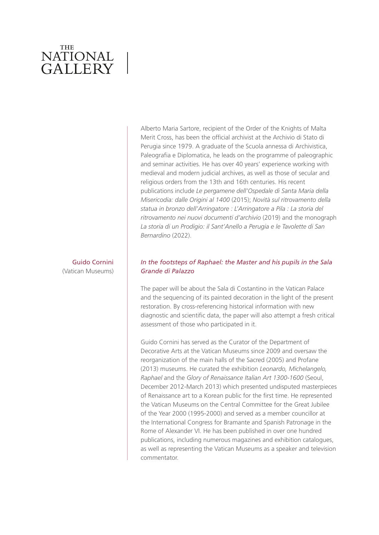### Guido Cornini (Vatican Museums)

## Alberto Maria Sartore, recipient of the Order of the Knights of Malta Merit Cross, has been the official archivist at the Archivio di Stato di Perugia since 1979. A graduate of the Scuola annessa di Archivistica, Paleografia e Diplomatica, he leads on the programme of paleographic and seminar activities. He has over 40 years' experience working with medieval and modern judicial archives, as well as those of secular and religious orders from the 13th and 16th centuries. His recent publications include *Le pergamene dell'Ospedale di Santa Maria della Misericodia: dalle Origini al 1400* (2015); *Novità sul ritrovamento della statua in bronzo dell'Arringatore : L'Arringatore a Pila : La storia del ritrovamento nei nuovi documenti d'archivio* (2019) and the monograph *La storia di un Prodigio: il Sant'Anello a Perugia e le Tavolette di San Bernardino* (2022).

### *In the footsteps of Raphael: the Master and his pupils in the Sala Grande di Palazzo*

The paper will be about the Sala di Costantino in the Vatican Palace and the sequencing of its painted decoration in the light of the present restoration. By cross-referencing historical information with new diagnostic and scientific data, the paper will also attempt a fresh critical assessment of those who participated in it.

Guido Cornini has served as the Curator of the Department of Decorative Arts at the Vatican Museums since 2009 and oversaw the reorganization of the main halls of the Sacred (2005) and Profane (2013) museums. He curated the exhibition *Leonardo, Michelangelo, Raphael* and the *Glory of Renaissance Italian Art 1300-1600* (Seoul, December 2012-March 2013) which presented undisputed masterpieces of Renaissance art to a Korean public for the first time. He represented the Vatican Museums on the Central Committee for the Great Jubilee of the Year 2000 (1995-2000) and served as a member councillor at the International Congress for Bramante and Spanish Patronage in the Rome of Alexander VI. He has been published in over one hundred publications, including numerous magazines and exhibition catalogues, as well as representing the Vatican Museums as a speaker and television commentator.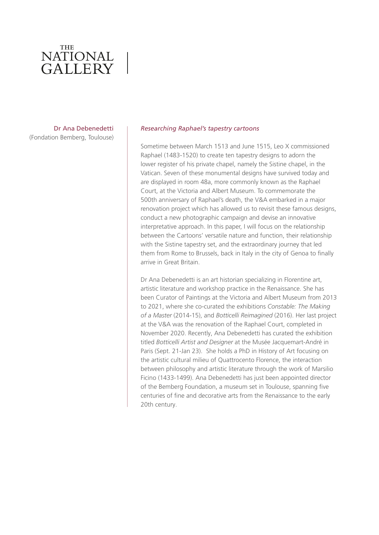Dr Ana Debenedetti (Fondation Bemberg, Toulouse)

#### *Researching Raphael's tapestry cartoons*

Sometime between March 1513 and June 1515, Leo X commissioned Raphael (1483-1520) to create ten tapestry designs to adorn the lower register of his private chapel, namely the Sistine chapel, in the Vatican. Seven of these monumental designs have survived today and are displayed in room 48a, more commonly known as the Raphael Court, at the Victoria and Albert Museum. To commemorate the 500th anniversary of Raphael's death, the V&A embarked in a major renovation project which has allowed us to revisit these famous designs, conduct a new photographic campaign and devise an innovative interpretative approach. In this paper, I will focus on the relationship between the Cartoons' versatile nature and function, their relationship with the Sistine tapestry set, and the extraordinary journey that led them from Rome to Brussels, back in Italy in the city of Genoa to finally arrive in Great Britain.

Dr Ana Debenedetti is an art historian specializing in Florentine art, artistic literature and workshop practice in the Renaissance. She has been Curator of Paintings at the Victoria and Albert Museum from 2013 to 2021, where she co-curated the exhibitions *Constable: The Making of a Master* (2014-15), and *Botticelli Reimagined* (2016). Her last project at the V&A was the renovation of the Raphael Court, completed in November 2020. Recently, Ana Debenedetti has curated the exhibition titled *Botticelli Artist and Designer* at the Musée Jacquemart-André in Paris (Sept. 21-Jan 23). She holds a PhD in History of Art focusing on the artistic cultural milieu of Quattrocento Florence, the interaction between philosophy and artistic literature through the work of Marsilio Ficino (1433-1499). Ana Debenedetti has just been appointed director of the Bemberg Foundation, a museum set in Toulouse, spanning five centuries of fine and decorative arts from the Renaissance to the early 20th century.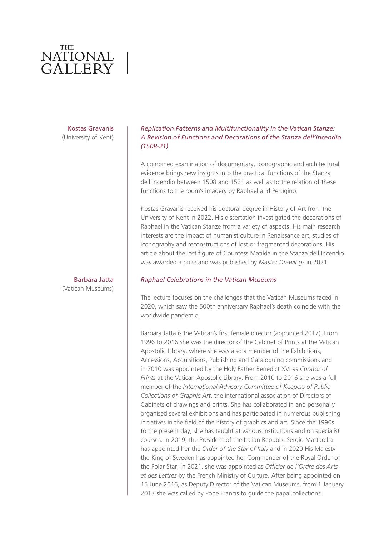### Kostas Gravanis (University of Kent)

### Barbara Jatta (Vatican Museums)

### *Replication Patterns and Multifunctionality in the Vatican Stanze: A Revision of Functions and Decorations of the Stanza dell'Incendio (1508-21)*

A combined examination of documentary, iconographic and architectural evidence brings new insights into the practical functions of the Stanza dell'Incendio between 1508 and 1521 as well as to the relation of these functions to the room's imagery by Raphael and Perugino.

Kostas Gravanis received his doctoral degree in History of Art from the University of Kent in 2022. His dissertation investigated the decorations of Raphael in the Vatican Stanze from a variety of aspects. His main research interests are the impact of humanist culture in Renaissance art, studies of iconography and reconstructions of lost or fragmented decorations. His article about the lost figure of Countess Matilda in the Stanza dell'Incendio was awarded a prize and was published by *Master Drawings* in 2021.

### *Raphael Celebrations in the Vatican Museums*

The lecture focuses on the challenges that the Vatican Museums faced in 2020, which saw the 500th anniversary Raphael's death coincide with the worldwide pandemic.

Barbara Jatta is the Vatican's first female director (appointed 2017). From 1996 to 2016 she was the director of the Cabinet of Prints at the Vatican Apostolic Library, where she was also a member of the Exhibitions, Accessions, Acquisitions, Publishing and Cataloguing commissions and in 2010 was appointed by the Holy Father Benedict XVI as *Curator of Prints* at the Vatican Apostolic Library. From 2010 to 2016 she was a full member of the *International Advisory Committee of Keepers of Public Collections of Graphic Art*, the international association of Directors of Cabinets of drawings and prints. She has collaborated in and personally organised several exhibitions and has participated in numerous publishing initiatives in the field of the history of graphics and art. Since the 1990s to the present day, she has taught at various institutions and on specialist courses. In 2019, the President of the Italian Republic Sergio Mattarella has appointed her the *Order of the Star of Italy* and in 2020 His Majesty the King of Sweden has appointed her Commander of the Royal Order of the Polar Star; in 2021, she was appointed as *Officier de l'Ordre des Arts et des Lettres* by the French Ministry of Culture. After being appointed on 15 June 2016, as Deputy Director of the Vatican Museums, from 1 January 2017 she was called by Pope Francis to guide the papal collections.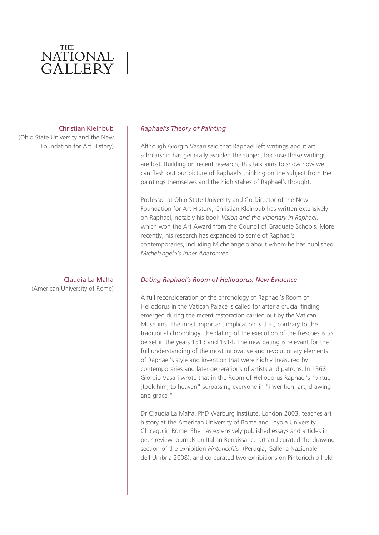#### Christian Kleinbub

 (Ohio State University and the New Foundation for Art History)

> Claudia La Malfa (American University of Rome)

#### *Raphael's Theory of Painting*

Although Giorgio Vasari said that Raphael left writings about art, scholarship has generally avoided the subject because these writings are lost. Building on recent research, this talk aims to show how we can flesh out our picture of Raphael's thinking on the subject from the paintings themselves and the high stakes of Raphael's thought.

Professor at Ohio State University and Co-Director of the New Foundation for Art History, Christian Kleinbub has written extensively on Raphael, notably his book *Vision and the Visionary in Raphael*, which won the Art Award from the Council of Graduate Schools. More recently, his research has expanded to some of Raphael's contemporaries, including Michelangelo about whom he has published *Michelangelo's Inner Anatomies*.

#### *Dating Raphael's Room of Heliodorus: New Evidence*

A full reconsideration of the chronology of Raphael's Room of Heliodorus in the Vatican Palace is called for after a crucial finding emerged during the recent restoration carried out by the Vatican Museums. The most important implication is that, contrary to the traditional chronology, the dating of the execution of the frescoes is to be set in the years 1513 and 1514. The new dating is relevant for the full understanding of the most innovative and revolutionary elements of Raphael's style and invention that were highly treasured by contemporaries and later generations of artists and patrons. In 1568 Giorgio Vasari wrote that in the Room of Heliodorus Raphael's "virtue [took him] to heaven" surpassing everyone in "invention, art, drawing and grace "

Dr Claudia La Malfa, PhD Warburg Institute, London 2003, teaches art history at the American University of Rome and Loyola University Chicago in Rome. She has extensively published essays and articles in peer-review journals on Italian Renaissance art and curated the drawing section of the exhibition *Pintoricchio*, (Perugia, Galleria Nazionale dell'Umbria 2008); and co-curated two exhibitions on Pintoricchio held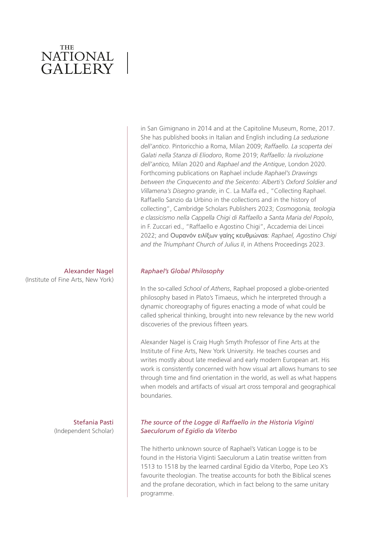### Alexander Nagel (Institute of Fine Arts, New York)

Stefania Pasti (Independent Scholar) in San Gimignano in 2014 and at the Capitoline Museum, Rome, 2017. She has published books in Italian and English including *La seduzione dell'antico*. Pintoricchio a Roma, Milan 2009; *Raffaello. La scoperta dei Galati nella Stanza di Eliodoro*, Rome 2019; *Raffaello: la rivoluzione dell'antico,* Milan 2020 and *Raphael and the Antique*, London 2020. Forthcoming publications on Raphael include *Raphael's Drawings between the Cinquecento and the Seicento: Alberti's Oxford Soldier and Villamena's Disegno grande*, in C. La Malfa ed., "Collecting Raphael. Raffaello Sanzio da Urbino in the collections and in the history of collecting", Cambridge Scholars Publishers 2023; *Cosmogonia, teologia e classicismo nella Cappella Chigi di Raffaello a Santa Maria del Popolo*, in F. Zuccari ed., "Raffaello e Agostino Chigi", Accademia dei Lincei 2022; and Oυρανόν ειλίξων γαίης κευθμώναs: *Raphael, Agostino Chigi and the Triumphant Church of Julius II*, in Athens Proceedings 2023.

#### *Raphael's Global Philosophy*

In the so-called *School of Athens*, Raphael proposed a globe-oriented philosophy based in Plato's Timaeus, which he interpreted through a dynamic choreography of figures enacting a mode of what could be called spherical thinking, brought into new relevance by the new world discoveries of the previous fifteen years.

Alexander Nagel is Craig Hugh Smyth Professor of Fine Arts at the Institute of Fine Arts, New York University. He teaches courses and writes mostly about late medieval and early modern European art. His work is consistently concerned with how visual art allows humans to see through time and find orientation in the world, as well as what happens when models and artifacts of visual art cross temporal and geographical boundaries.

### *The source of the Logge di Raffaello in the Historia Viginti Saeculorum of Egidio da Viterbo*

The hitherto unknown source of Raphael's Vatican Logge is to be found in the Historia Viginti Saeculorum a Latin treatise written from 1513 to 1518 by the learned cardinal Egidio da Viterbo, Pope Leo X's favourite theologian. The treatise accounts for both the Biblical scenes and the profane decoration, which in fact belong to the same unitary programme.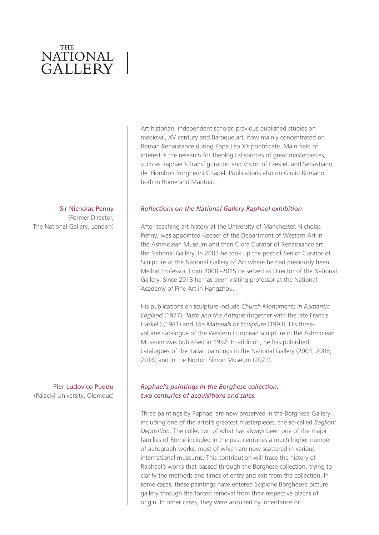Sir Nicholas Penny

(Former Director, The National Gallery, London)

Pier Ludovico Puddu (Palacký University, Olomouc) Art historian, independent scholar, previous published studies on medieval, XV century and Baroque art, now mainly concentrated on Roman Renaissance during Pope Leo X's pontificate. Main field of interest is the research for theological sources of great masterpieces, such as Raphael's Transfiguration and Vision of Ezekiel, and Sebastiano del Piombo's Borgherini Chapel. Publications also on Giulio Romano both in Rome and Mantua.

### *Reflections on the National Gallery Raphael exhibition*

After teaching art history at the University of Manchester, Nicholas Penny, was appointed Keeper of the Department of Western Art in the Ashmolean Museum and then Clore Curator of Renaissance art the National Gallery. In 2003 he took up the post of Senior Curator of Sculpture at the National Gallery of Art where he had previously been Mellon Professor. From 2008 -2015 he served as Director of the National Gallery. Since 2018 he has been visiting professor at the National Academy of Fine Art in Hangzhou.

His publications on sculpture include *Church Monuments in Romantic England* (1977); *Taste and the Antique* (together with the late Francis Haskell) (1981) and *The Materials of Sculpture* (1993). His threevolume catalogue of the Western European sculpture in the Ashmolean Museum was published in 1992. In addition, he has published catalogues of the Italian paintings in the National Gallery (2004, 2008, 2016) and in the Norton Simon Museum (2021).

## *Raphael's paintings in the Borghese collection: two centuries of acquisitions and sales*

Three paintings by Raphael are now preserved in the Borghese Gallery, including one of the artist's greatest masterpieces, the so-called *Baglioni Deposition.* The collection of what has always been one of the major families of Rome included in the past centuries a much higher number of autograph works, most of which are now scattered in various international museums. This contribution will trace the history of Raphael's works that passed through the Borghese collection, trying to clarify the methods and times of entry and exit from the collection. In some cases, these paintings have entered Scipione Borghese's picture gallery through the forced removal from their respective places of origin. In other cases, they were acquired by inheritance or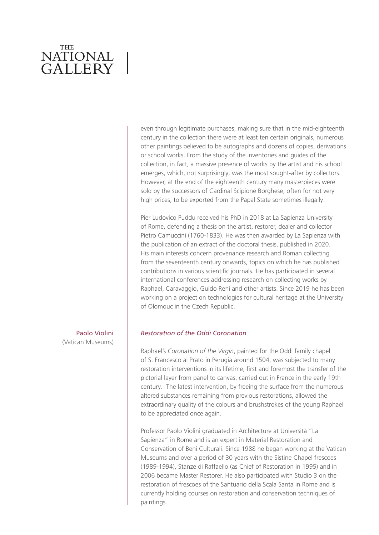even through legitimate purchases, making sure that in the mid-eighteenth century in the collection there were at least ten certain originals, numerous other paintings believed to be autographs and dozens of copies, derivations or school works. From the study of the inventories and guides of the collection, in fact, a massive presence of works by the artist and his school emerges, which, not surprisingly, was the most sought-after by collectors. However, at the end of the eighteenth century many masterpieces were sold by the successors of Cardinal Scipione Borghese, often for not very high prices, to be exported from the Papal State sometimes illegally.

Pier Ludovico Puddu received his PhD in 2018 at La Sapienza University of Rome, defending a thesis on the artist, restorer, dealer and collector Pietro Camuccini (1760-1833). He was then awarded by La Sapienza with the publication of an extract of the doctoral thesis, published in 2020. His main interests concern provenance research and Roman collecting from the seventeenth century onwards, topics on which he has published contributions in various scientific journals. He has participated in several international conferences addressing research on collecting works by Raphael, Caravaggio, Guido Reni and other artists. Since 2019 he has been working on a project on technologies for cultural heritage at the University of Olomouc in the Czech Republic.

Paolo Violini (Vatican Museums)

#### *Restoration of the Oddi Coronation*

Raphael's *Coronation of the Virgin*, painted for the Oddi family chapel of S. Francesco al Prato in Perugia around 1504, was subjected to many restoration interventions in its lifetime, first and foremost the transfer of the pictorial layer from panel to canvas, carried out in France in the early 19th century. The latest intervention, by freeing the surface from the numerous altered substances remaining from previous restorations, allowed the extraordinary quality of the colours and brushstrokes of the young Raphael to be appreciated once again.

Professor Paolo Violini graduated in Architecture at Università "La Sapienza" in Rome and is an expert in Material Restoration and Conservation of Beni Culturali. Since 1988 he began working at the Vatican Museums and over a period of 30 years with the Sistine Chapel frescoes (1989-1994), Stanze di Raffaello (as Chief of Restoration in 1995) and in 2006 became Master Restorer. He also participated with Studio 3 on the restoration of frescoes of the Santuario della Scala Santa in Rome and is currently holding courses on restoration and conservation techniques of paintings.